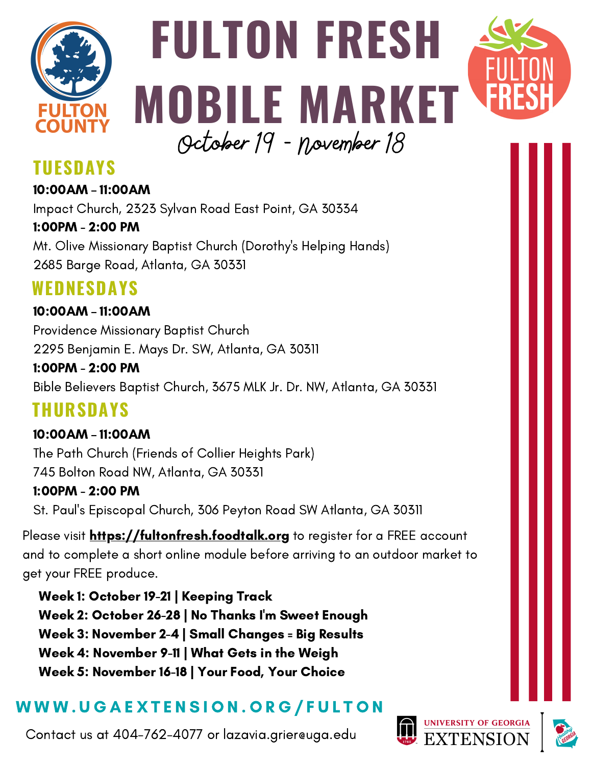

## **FULTON FRESH MOBILE MARKET** October 19 - November 18



#### **TUESDAYS**

10:00AM – 11:00AM Impact Church, 2323 Sylvan Road East Point, GA 30334 1:00PM - 2:00 PM Mt. Olive Missionary Baptist Church (Dorothy's Helping Hands) 2685 Barge Road, Atlanta, GA 30331

#### **WEDNESDAYS**

#### 10:00AM – 11:00AM Providence Missionary Baptist Church 2295 Benjamin E. Mays Dr. SW, Atlanta, GA 30311

1:00PM - 2:00 PM Bible Believers Baptist Church, 3675 MLK Jr. Dr. NW, Atlanta, GA 30331

### **THURSDAYS**

10:00AM – 11:00AM The Path Church (Friends of Collier Heights Park) 745 Bolton Road NW, Atlanta, GA 30331 1:00PM - 2:00 PM St. Paul's Episcopal Church, 306 Peyton Road SW Atlanta, GA 30311

Please visit **[https://fultonfresh.foodtalk.org](https://fultonfresh.foodtalk.org/)** to register for a FREE account and to complete a short online module before arriving to an outdoor market to get your FREE produce.

Week 1: October 19-21 | Keeping Track Week 2: October 26-28 | No Thanks I'm Sweet Enough Week 3: November 2-4 | Small Changes = Big Results Week 4: November 9-11 | What Gets in the Weigh Week 5: November 16-18 | Your Food, Your Choice

#### W W W . U G A E X T E N S I O N . O R G / F U L T O N

Contact us at 404-762-4077 or lazavia.grier@uga.edu